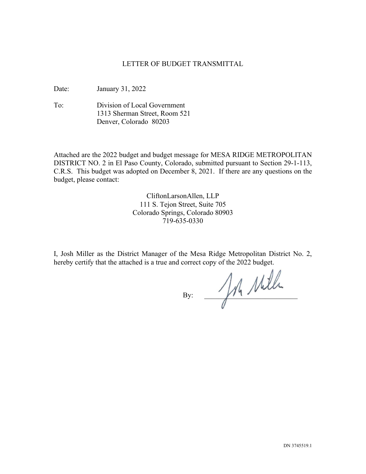## LETTER OF BUDGET TRANSMITTAL

Date: January 31, 2022

To: Division of Local Government 1313 Sherman Street, Room 521 Denver, Colorado 80203

Attached are the 2022 budget and budget message for MESA RIDGE METROPOLITAN DISTRICT NO. 2 in El Paso County, Colorado, submitted pursuant to Section 29-1-113, C.R.S. This budget was adopted on December 8, 2021. If there are any questions on the budget, please contact:

> CliftonLarsonAllen, LLP 111 S. Tejon Street, Suite 705 Colorado Springs, Colorado 80903 719-635-0330

I, Josh Miller as the District Manager of the Mesa Ridge Metropolitan District No. 2, hereby certify that the attached is a true and correct copy of the 2022 budget.

 $By:$  An Mille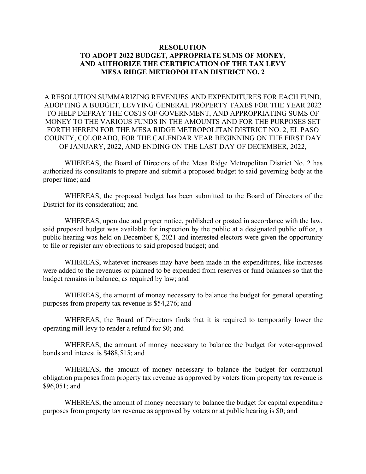## **RESOLUTION TO ADOPT 2022 BUDGET, APPROPRIATE SUMS OF MONEY, AND AUTHORIZE THE CERTIFICATION OF THE TAX LEVY MESA RIDGE METROPOLITAN DISTRICT NO. 2**

A RESOLUTION SUMMARIZING REVENUES AND EXPENDITURES FOR EACH FUND, ADOPTING A BUDGET, LEVYING GENERAL PROPERTY TAXES FOR THE YEAR 2022 TO HELP DEFRAY THE COSTS OF GOVERNMENT, AND APPROPRIATING SUMS OF MONEY TO THE VARIOUS FUNDS IN THE AMOUNTS AND FOR THE PURPOSES SET FORTH HEREIN FOR THE MESA RIDGE METROPOLITAN DISTRICT NO. 2, EL PASO COUNTY, COLORADO, FOR THE CALENDAR YEAR BEGINNING ON THE FIRST DAY OF JANUARY, 2022, AND ENDING ON THE LAST DAY OF DECEMBER, 2022,

WHEREAS, the Board of Directors of the Mesa Ridge Metropolitan District No. 2 has authorized its consultants to prepare and submit a proposed budget to said governing body at the proper time; and

WHEREAS, the proposed budget has been submitted to the Board of Directors of the District for its consideration; and

WHEREAS, upon due and proper notice, published or posted in accordance with the law, said proposed budget was available for inspection by the public at a designated public office, a public hearing was held on December 8, 2021 and interested electors were given the opportunity to file or register any objections to said proposed budget; and

WHEREAS, whatever increases may have been made in the expenditures, like increases were added to the revenues or planned to be expended from reserves or fund balances so that the budget remains in balance, as required by law; and

WHEREAS, the amount of money necessary to balance the budget for general operating purposes from property tax revenue is \$54,276; and

WHEREAS, the Board of Directors finds that it is required to temporarily lower the operating mill levy to render a refund for \$0; and

WHEREAS, the amount of money necessary to balance the budget for voter-approved bonds and interest is \$488,515; and

WHEREAS, the amount of money necessary to balance the budget for contractual obligation purposes from property tax revenue as approved by voters from property tax revenue is \$96,051; and

WHEREAS, the amount of money necessary to balance the budget for capital expenditure purposes from property tax revenue as approved by voters or at public hearing is \$0; and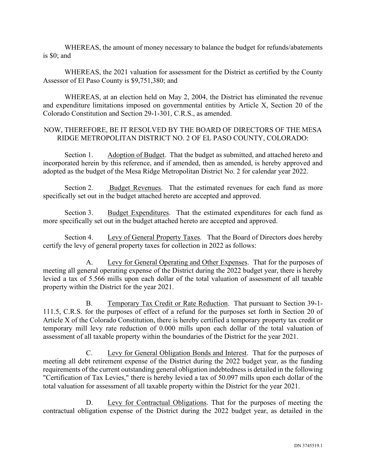WHEREAS, the amount of money necessary to balance the budget for refunds/abatements is \$0; and

WHEREAS, the 2021 valuation for assessment for the District as certified by the County Assessor of El Paso County is \$9,751,380; and

WHEREAS, at an election held on May 2, 2004, the District has eliminated the revenue and expenditure limitations imposed on governmental entities by Article X, Section 20 of the Colorado Constitution and Section 29-1-301, C.R.S., as amended.

## NOW, THEREFORE, BE IT RESOLVED BY THE BOARD OF DIRECTORS OF THE MESA RIDGE METROPOLITAN DISTRICT NO. 2 OF EL PASO COUNTY, COLORADO:

Section 1. Adoption of Budget. That the budget as submitted, and attached hereto and incorporated herein by this reference, and if amended, then as amended, is hereby approved and adopted as the budget of the Mesa Ridge Metropolitan District No. 2 for calendar year 2022.

Section 2. Budget Revenues. That the estimated revenues for each fund as more specifically set out in the budget attached hereto are accepted and approved.

Section 3. Budget Expenditures. That the estimated expenditures for each fund as more specifically set out in the budget attached hereto are accepted and approved.

Section 4. Levy of General Property Taxes. That the Board of Directors does hereby certify the levy of general property taxes for collection in 2022 as follows:

A. Levy for General Operating and Other Expenses. That for the purposes of meeting all general operating expense of the District during the 2022 budget year, there is hereby levied a tax of 5.566 mills upon each dollar of the total valuation of assessment of all taxable property within the District for the year 2021.

B. Temporary Tax Credit or Rate Reduction. That pursuant to Section 39-1- 111.5, C.R.S. for the purposes of effect of a refund for the purposes set forth in Section 20 of Article X of the Colorado Constitution, there is hereby certified a temporary property tax credit or temporary mill levy rate reduction of 0.000 mills upon each dollar of the total valuation of assessment of all taxable property within the boundaries of the District for the year 2021.

C. Levy for General Obligation Bonds and Interest. That for the purposes of meeting all debt retirement expense of the District during the 2022 budget year, as the funding requirements of the current outstanding general obligation indebtedness is detailed in the following "Certification of Tax Levies," there is hereby levied a tax of 50.097 mills upon each dollar of the total valuation for assessment of all taxable property within the District for the year 2021.

D. Levy for Contractual Obligations. That for the purposes of meeting the contractual obligation expense of the District during the 2022 budget year, as detailed in the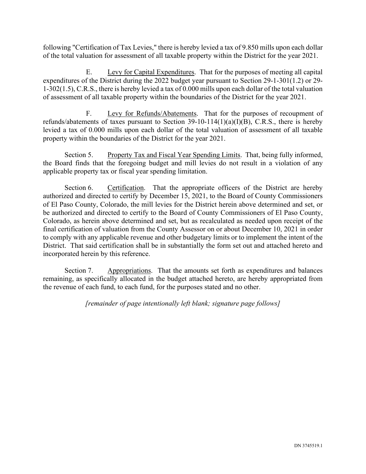following "Certification of Tax Levies," there is hereby levied a tax of 9.850 mills upon each dollar of the total valuation for assessment of all taxable property within the District for the year 2021.

E. Levy for Capital Expenditures. That for the purposes of meeting all capital expenditures of the District during the 2022 budget year pursuant to Section 29-1-301(1.2) or 29- 1-302(1.5), C.R.S., there is hereby levied a tax of 0.000 mills upon each dollar of the total valuation of assessment of all taxable property within the boundaries of the District for the year 2021.

F. Levy for Refunds/Abatements. That for the purposes of recoupment of refunds/abatements of taxes pursuant to Section 39-10-114(1)(a)(I)(B), C.R.S., there is hereby levied a tax of 0.000 mills upon each dollar of the total valuation of assessment of all taxable property within the boundaries of the District for the year 2021.

Section 5. Property Tax and Fiscal Year Spending Limits. That, being fully informed, the Board finds that the foregoing budget and mill levies do not result in a violation of any applicable property tax or fiscal year spending limitation.

Section 6. Certification. That the appropriate officers of the District are hereby authorized and directed to certify by December 15, 2021, to the Board of County Commissioners of El Paso County, Colorado, the mill levies for the District herein above determined and set, or be authorized and directed to certify to the Board of County Commissioners of El Paso County, Colorado, as herein above determined and set, but as recalculated as needed upon receipt of the final certification of valuation from the County Assessor on or about December 10, 2021 in order to comply with any applicable revenue and other budgetary limits or to implement the intent of the District. That said certification shall be in substantially the form set out and attached hereto and incorporated herein by this reference.

Section 7. Appropriations. That the amounts set forth as expenditures and balances remaining, as specifically allocated in the budget attached hereto, are hereby appropriated from the revenue of each fund, to each fund, for the purposes stated and no other.

*[remainder of page intentionally left blank; signature page follows]*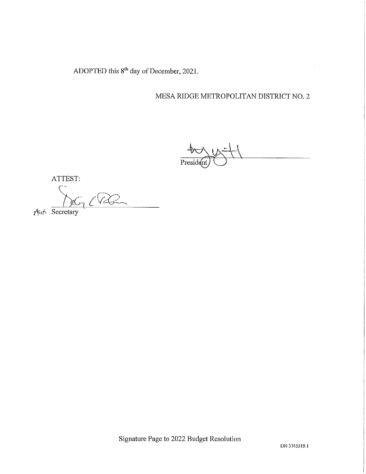ADOPTED this 8<sup>th</sup> day of December, 2021.

# MESA RIDGE METROPOLITAN DISTRICT NO. 2

President

ATTEST:

 $\pi$  (RQ

 $\sqrt{5}$  Secretary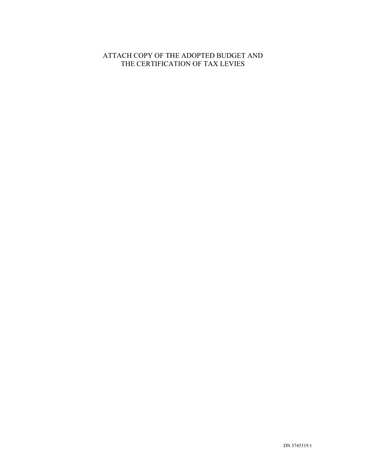# ATTACH COPY OF THE ADOPTED BUDGET AND THE CERTIFICATION OF TAX LEVIES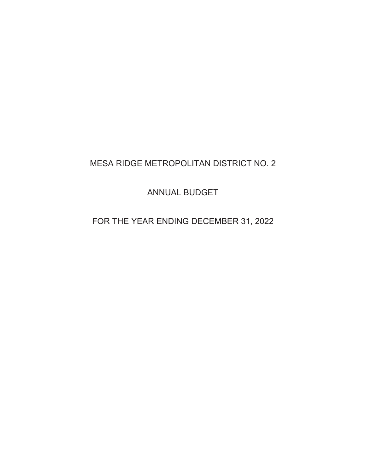# MESA RIDGE METROPOLITAN DISTRICT NO. 2

ANNUAL BUDGET

FOR THE YEAR ENDING DECEMBER 31, 2022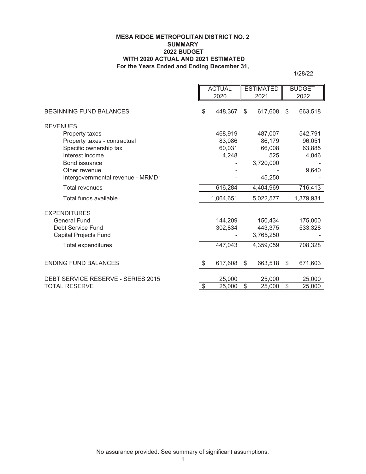#### **MESA RIDGE METROPOLITAN DISTRICT NO. 2 SUMMARY 2022 BUDGET WITH 2020 ACTUAL AND 2021 ESTIMATED For the Years Ended and Ending December 31,**

1/28/22

|                                    |                          | <b>ACTUAL</b> |                          | <b>ESTIMATED</b> | <b>BUDGET</b> |
|------------------------------------|--------------------------|---------------|--------------------------|------------------|---------------|
|                                    |                          | 2020          |                          | 2021             | 2022          |
| <b>BEGINNING FUND BALANCES</b>     | \$                       | 448,367       | \$                       | 617,608          | \$<br>663,518 |
| <b>REVENUES</b>                    |                          |               |                          |                  |               |
| Property taxes                     |                          | 468,919       |                          | 487,007          | 542,791       |
| Property taxes - contractual       |                          | 83,086        |                          | 86,179           | 96,051        |
| Specific ownership tax             |                          | 60,031        |                          | 66,008           | 63,885        |
| Interest income                    |                          | 4,248         |                          | 525              | 4,046         |
| Bond issuance                      |                          |               |                          | 3,720,000        |               |
| Other revenue                      |                          |               |                          |                  | 9,640         |
| Intergovernmental revenue - MRMD1  |                          |               |                          | 45,250           |               |
| <b>Total revenues</b>              |                          | 616,284       |                          | 4,404,969        | 716,413       |
| Total funds available              |                          | 1,064,651     |                          | 5,022,577        | 1,379,931     |
| <b>EXPENDITURES</b>                |                          |               |                          |                  |               |
| <b>General Fund</b>                |                          | 144,209       |                          | 150,434          | 175,000       |
| Debt Service Fund                  |                          | 302,834       |                          | 443,375          | 533,328       |
| <b>Capital Projects Fund</b>       |                          |               |                          | 3,765,250        |               |
| Total expenditures                 |                          | 447,043       |                          | 4,359,059        | 708,328       |
|                                    |                          |               |                          |                  |               |
| <b>ENDING FUND BALANCES</b>        | \$                       | 617,608       | $\$\$                    | 663,518          | \$<br>671,603 |
|                                    |                          |               |                          |                  |               |
| DEBT SERVICE RESERVE - SERIES 2015 |                          | 25,000        | $\overline{\mathcal{S}}$ | 25,000           | 25,000        |
| TOTAL RESERVE                      | $\overline{\mathcal{E}}$ | 25,000        |                          | 25,000           | \$<br>25,000  |

No assurance provided. See summary of significant assumptions.

1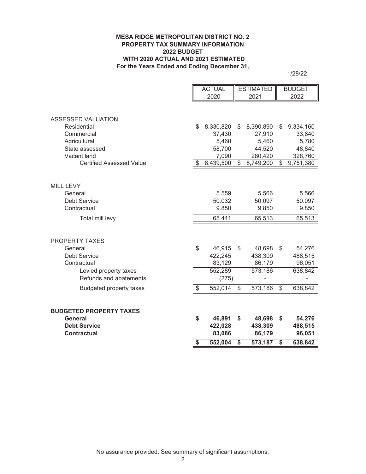#### **MESA RIDGE METROPOLITAN DISTRICT NO. 2 PROPERTY TAX SUMMARY INFORMATION 2022 BUDGET WITH 2020 ACTUAL AND 2021 ESTIMATED For the Years Ended and Ending December 31,**

1/28/22

|                                       | <b>ACTUAL</b> |                     | <b>ESTIMATED</b> |                     | <b>BUDGET</b> |                     |
|---------------------------------------|---------------|---------------------|------------------|---------------------|---------------|---------------------|
|                                       |               | 2020                |                  | 2021                |               | 2022                |
|                                       |               |                     |                  |                     |               |                     |
|                                       |               |                     |                  |                     |               |                     |
| <b>ASSESSED VALUATION</b>             |               |                     |                  |                     |               |                     |
| Residential<br>Commercial             | \$            | 8,330,820<br>37,430 | \$               | 8,390,890<br>27,910 | \$            | 9,334,160<br>33,840 |
| Agricultural                          |               | 5,460               |                  | 5,460               |               | 5,780               |
| State assessed                        |               | 58,700              |                  | 44,520              |               | 48,840              |
| Vacant land                           |               | 7,090               |                  | 280,420             |               | 328,760             |
| <b>Certified Assessed Value</b>       | S             | 8,439,500           | \$               | 8,749,200           | \$            | 9,751,380           |
|                                       |               |                     |                  |                     |               |                     |
|                                       |               |                     |                  |                     |               |                     |
| MILL LEVY                             |               |                     |                  |                     |               |                     |
| General                               |               | 5.559               |                  | 5.566               |               | 5.566               |
| <b>Debt Service</b>                   |               | 50.032              |                  | 50.097              |               | 50.097              |
| Contractual                           |               | 9.850               |                  | 9.850               |               | 9.850               |
| Total mill levy                       |               | 65.441              |                  | 65.513              |               | 65.513              |
|                                       |               |                     |                  |                     |               |                     |
|                                       |               |                     |                  |                     |               |                     |
| <b>PROPERTY TAXES</b>                 |               |                     |                  |                     |               |                     |
| General                               | \$            | 46,915              | \$               | 48,698              | \$            | 54,276              |
| <b>Debt Service</b>                   |               | 422,245             |                  | 438,309             |               | 488,515             |
| Contractual                           |               | 83,129              |                  | 86,179              |               | 96,051              |
| Levied property taxes                 |               | 552,289             |                  | 573,186             |               | 638,842             |
| Refunds and abatements                |               | (275)               |                  |                     |               |                     |
| <b>Budgeted property taxes</b>        | \$            | 552,014             | \$               | 573,186             | \$            | 638,842             |
|                                       |               |                     |                  |                     |               |                     |
|                                       |               |                     |                  |                     |               |                     |
| <b>BUDGETED PROPERTY TAXES</b>        |               |                     |                  |                     |               |                     |
| <b>General</b><br><b>Debt Service</b> | \$            | 46,891<br>422,028   | \$               | 48,698<br>438,309   | \$            | 54,276<br>488,515   |
| <b>Contractual</b>                    |               | 83,086              |                  | 86,179              |               | 96,051              |
|                                       |               |                     |                  |                     |               |                     |
|                                       | \$            | 552,004             | \$               | 573,187             | \$            | 638,842             |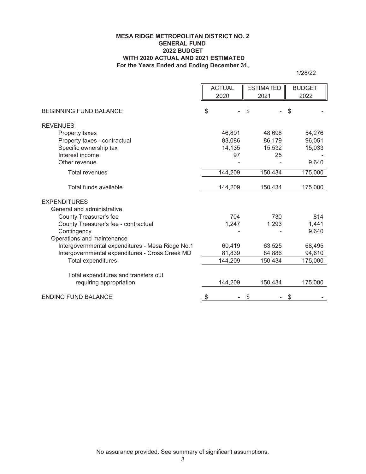#### **For the Years Ended and Ending December 31, MESA RIDGE METROPOLITAN DISTRICT NO. 2 GENERAL FUND 2022 BUDGET WITH 2020 ACTUAL AND 2021 ESTIMATED**

1/28/22

|                                                  |    | <b>ACTUAL</b> | <b>ESTIMATED</b> | <b>BUDGET</b> |
|--------------------------------------------------|----|---------------|------------------|---------------|
|                                                  |    | 2020          | 2021             | 2022          |
|                                                  |    |               |                  |               |
| <b>BEGINNING FUND BALANCE</b>                    | \$ |               | \$               | S             |
| <b>REVENUES</b>                                  |    |               |                  |               |
| Property taxes                                   |    | 46,891        | 48,698           | 54,276        |
| Property taxes - contractual                     |    | 83,086        | 86,179           | 96,051        |
| Specific ownership tax                           |    | 14,135        | 15,532           | 15,033        |
| Interest income                                  |    | 97            | 25               |               |
| Other revenue                                    |    |               |                  | 9,640         |
| <b>Total revenues</b>                            |    | 144,209       | 150,434          | 175,000       |
| Total funds available                            |    | 144,209       | 150,434          | 175,000       |
|                                                  |    |               |                  |               |
| <b>EXPENDITURES</b>                              |    |               |                  |               |
| General and administrative                       |    |               |                  |               |
| County Treasurer's fee                           |    | 704           | 730              | 814           |
| County Treasurer's fee - contractual             |    | 1,247         | 1,293            | 1,441         |
| Contingency                                      |    |               |                  | 9,640         |
| Operations and maintenance                       |    |               |                  |               |
| Intergovernmental expenditures - Mesa Ridge No.1 |    | 60,419        | 63,525           | 68,495        |
| Intergovernmental expenditures - Cross Creek MD  |    | 81,839        | 84,886           | 94,610        |
| Total expenditures                               |    | 144,209       | 150,434          | 175,000       |
|                                                  |    |               |                  |               |
| Total expenditures and transfers out             |    |               |                  |               |
| requiring appropriation                          |    | 144,209       | 150,434          | 175,000       |
| <b>ENDING FUND BALANCE</b>                       | S  |               | \$               | \$            |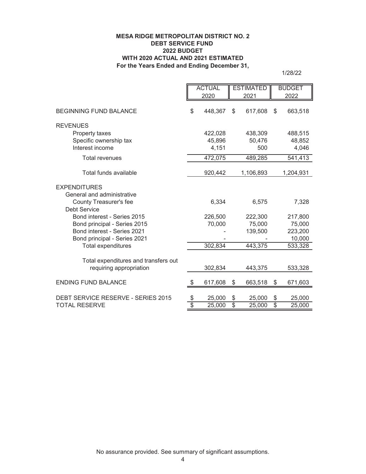#### **MESA RIDGE METROPOLITAN DISTRICT NO. 2 DEBT SERVICE FUND 2022 BUDGET WITH 2020 ACTUAL AND 2021 ESTIMATED For the Years Ended and Ending December 31,**

1/28/22

|                                                                   |                       | <b>ACTUAL</b>    |                                | <b>ESTIMATED</b> |          | <b>BUDGET</b>    |
|-------------------------------------------------------------------|-----------------------|------------------|--------------------------------|------------------|----------|------------------|
|                                                                   |                       | 2020             |                                | 2021             |          | 2022             |
| <b>BEGINNING FUND BALANCE</b>                                     | \$                    | 448,367          | \$                             | 617,608          | \$       | 663,518          |
| <b>REVENUES</b>                                                   |                       |                  |                                |                  |          |                  |
| Property taxes                                                    |                       | 422,028          |                                | 438,309          |          | 488,515          |
| Specific ownership tax                                            |                       | 45,896           |                                | 50,476           |          | 48,852           |
| Interest income                                                   |                       | 4,151            |                                | 500              |          | 4,046            |
| <b>Total revenues</b>                                             |                       | 472,075          |                                | 489,285          |          | 541,413          |
| Total funds available                                             |                       | 920,442          |                                | 1,106,893        |          | 1,204,931        |
| <b>EXPENDITURES</b>                                               |                       |                  |                                |                  |          |                  |
| General and administrative                                        |                       |                  |                                |                  |          |                  |
| County Treasurer's fee                                            |                       | 6,334            |                                | 6,575            |          | 7,328            |
| <b>Debt Service</b>                                               |                       |                  |                                |                  |          |                  |
| Bond interest - Series 2015                                       |                       | 226,500          |                                | 222,300          |          | 217,800          |
| Bond principal - Series 2015                                      |                       | 70,000           |                                | 75,000           |          | 75,000           |
| Bond interest - Series 2021                                       |                       |                  |                                | 139,500          |          | 223,200          |
| Bond principal - Series 2021                                      |                       |                  |                                |                  |          | 10,000           |
| Total expenditures                                                |                       | 302,834          |                                | 443,375          |          | 533,328          |
|                                                                   |                       |                  |                                |                  |          |                  |
| Total expenditures and transfers out<br>requiring appropriation   |                       | 302,834          |                                | 443,375          |          | 533,328          |
|                                                                   |                       |                  |                                |                  |          |                  |
| <b>ENDING FUND BALANCE</b>                                        |                       | 617,608          | \$                             | 663,518          | \$       | 671,603          |
|                                                                   |                       |                  |                                |                  |          |                  |
| <b>DEBT SERVICE RESERVE - SERIES 2015</b><br><b>TOTAL RESERVE</b> | \$<br>$\overline{\$}$ | 25,000<br>25,000 | \$<br>$\overline{\mathcal{S}}$ | 25,000<br>25,000 | \$<br>\$ | 25,000<br>25,000 |
|                                                                   |                       |                  |                                |                  |          |                  |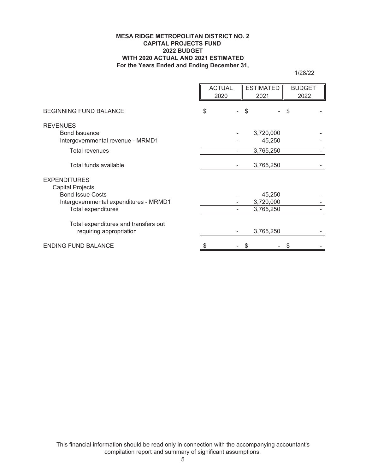#### **MESA RIDGE METROPOLITAN DISTRICT NO. 2 CAPITAL PROJECTS FUND 2022 BUDGET WITH 2020 ACTUAL AND 2021 ESTIMATED For the Years Ended and Ending December 31,**

1/28/22

|                                        | <b>ACTUAL</b><br>2020 |    | <b>ESTIMATED</b><br>2021 | <b>BUDGET</b><br>2022 |  |
|----------------------------------------|-----------------------|----|--------------------------|-----------------------|--|
| <b>BEGINNING FUND BALANCE</b>          | \$                    | \$ |                          | \$                    |  |
| <b>REVENUES</b>                        |                       |    |                          |                       |  |
| <b>Bond Issuance</b>                   |                       |    | 3,720,000                |                       |  |
| Intergovernmental revenue - MRMD1      |                       |    | 45,250                   |                       |  |
| <b>Total revenues</b>                  |                       |    | 3,765,250                |                       |  |
| Total funds available                  |                       |    | 3,765,250                |                       |  |
| <b>EXPENDITURES</b>                    |                       |    |                          |                       |  |
| <b>Capital Projects</b>                |                       |    |                          |                       |  |
| <b>Bond Issue Costs</b>                |                       |    | 45,250                   |                       |  |
| Intergovernmental expenditures - MRMD1 |                       |    | 3,720,000                |                       |  |
| Total expenditures                     |                       |    | 3,765,250                |                       |  |
| Total expenditures and transfers out   |                       |    |                          |                       |  |
| requiring appropriation                |                       |    | 3,765,250                |                       |  |
| <b>ENDING FUND BALANCE</b>             |                       |    |                          |                       |  |

This financial information should be read only in connection with the accompanying accountant's compilation report and summary of significant assumptions.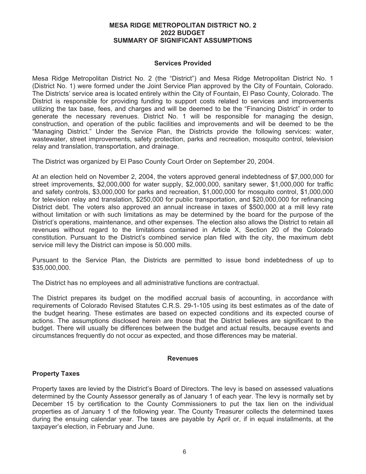#### **MESA RIDGE METROPOLITAN DISTRICT NO. 2 2022 BUDGET SUMMARY OF SIGNIFICANT ASSUMPTIONS**

#### **Services Provided**

Mesa Ridge Metropolitan District No. 2 (the "District") and Mesa Ridge Metropolitan District No. 1 (District No. 1) were formed under the Joint Service Plan approved by the City of Fountain, Colorado. The Districts' service area is located entirely within the City of Fountain, El Paso County, Colorado. The District is responsible for providing funding to support costs related to services and improvements utilizing the tax base, fees, and charges and will be deemed to be the "Financing District" in order to generate the necessary revenues. District No. 1 will be responsible for managing the design, construction, and operation of the public facilities and improvements and will be deemed to be the "Managing District." Under the Service Plan, the Districts provide the following services: water, wastewater, street improvements, safety protection, parks and recreation, mosquito control, television relay and translation, transportation, and drainage.

The District was organized by El Paso County Court Order on September 20, 2004.

At an election held on November 2, 2004, the voters approved general indebtedness of \$7,000,000 for street improvements, \$2,000,000 for water supply, \$2,000,000, sanitary sewer, \$1,000,000 for traffic and safety controls, \$3,000,000 for parks and recreation, \$1,000,000 for mosquito control, \$1,000,000 for television relay and translation, \$250,000 for public transportation, and \$20,000,000 for refinancing District debt. The voters also approved an annual increase in taxes of \$500,000 at a mill levy rate without limitation or with such limitations as may be determined by the board for the purpose of the District's operations, maintenance, and other expenses. The election also allows the District to retain all revenues without regard to the limitations contained in Article X, Section 20 of the Colorado constitution. Pursuant to the District's combined service plan filed with the city, the maximum debt service mill levy the District can impose is 50.000 mills.

Pursuant to the Service Plan, the Districts are permitted to issue bond indebtedness of up to \$35,000,000.

The District has no employees and all administrative functions are contractual.

The District prepares its budget on the modified accrual basis of accounting, in accordance with requirements of Colorado Revised Statutes C.R.S. 29-1-105 using its best estimates as of the date of the budget hearing. These estimates are based on expected conditions and its expected course of actions. The assumptions disclosed herein are those that the District believes are significant to the budget. There will usually be differences between the budget and actual results, because events and circumstances frequently do not occur as expected, and those differences may be material.

#### **Revenues**

#### **Property Taxes**

Property taxes are levied by the District's Board of Directors. The levy is based on assessed valuations determined by the County Assessor generally as of January 1 of each year. The levy is normally set by December 15 by certification to the County Commissioners to put the tax lien on the individual properties as of January 1 of the following year. The County Treasurer collects the determined taxes during the ensuing calendar year. The taxes are payable by April or, if in equal installments, at the taxpayer's election, in February and June.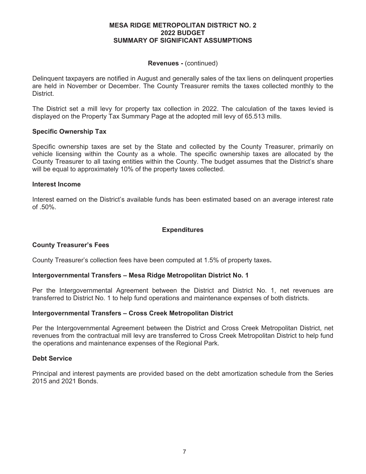#### **MESA RIDGE METROPOLITAN DISTRICT NO. 2 2022 BUDGET SUMMARY OF SIGNIFICANT ASSUMPTIONS**

#### **Revenues -** (continued)

Delinquent taxpayers are notified in August and generally sales of the tax liens on delinquent properties are held in November or December. The County Treasurer remits the taxes collected monthly to the **District** 

The District set a mill levy for property tax collection in 2022. The calculation of the taxes levied is displayed on the Property Tax Summary Page at the adopted mill levy of 65.513 mills.

### **Specific Ownership Tax**

Specific ownership taxes are set by the State and collected by the County Treasurer, primarily on vehicle licensing within the County as a whole. The specific ownership taxes are allocated by the County Treasurer to all taxing entities within the County. The budget assumes that the District's share will be equal to approximately 10% of the property taxes collected.

### **Interest Income**

Interest earned on the District's available funds has been estimated based on an average interest rate of .50%.

## **Expenditures**

## **County Treasurer's Fees**

County Treasurer's collection fees have been computed at 1.5% of property taxes**.** 

#### **Intergovernmental Transfers – Mesa Ridge Metropolitan District No. 1**

Per the Intergovernmental Agreement between the District and District No. 1, net revenues are transferred to District No. 1 to help fund operations and maintenance expenses of both districts.

#### **Intergovernmental Transfers – Cross Creek Metropolitan District**

Per the Intergovernmental Agreement between the District and Cross Creek Metropolitan District, net revenues from the contractual mill levy are transferred to Cross Creek Metropolitan District to help fund the operations and maintenance expenses of the Regional Park.

#### **Debt Service**

Principal and interest payments are provided based on the debt amortization schedule from the Series 2015 and 2021 Bonds.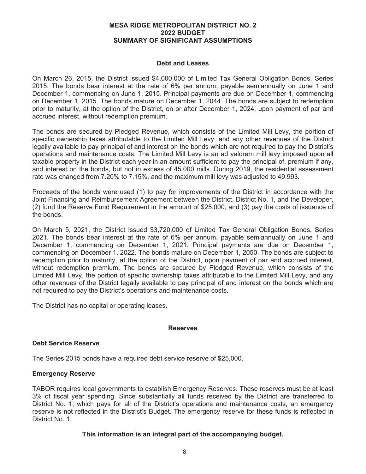#### **MESA RIDGE METROPOLITAN DISTRICT NO. 2 2022 BUDGET SUMMARY OF SIGNIFICANT ASSUMPTIONS**

#### **Debt and Leases**

On March 26, 2015, the District issued \$4,000,000 of Limited Tax General Obligation Bonds, Series 2015. The bonds bear interest at the rate of 6% per annum, payable semiannually on June 1 and December 1, commencing on June 1, 2015. Principal payments are due on December 1, commencing on December 1, 2015. The bonds mature on December 1, 2044. The bonds are subject to redemption prior to maturity, at the option of the District, on or after December 1, 2024, upon payment of par and accrued interest, without redemption premium.

The bonds are secured by Pledged Revenue, which consists of the Limited Mill Levy, the portion of specific ownership taxes attributable to the Limited Mill Levy, and any other revenues of the District legally available to pay principal of and interest on the bonds which are not required to pay the District's operations and maintenance costs. The Limited Mill Levy is an ad valorem mill levy imposed upon all taxable property in the District each year in an amount sufficient to pay the principal of, premium if any, and interest on the bonds, but not in excess of 45.000 mills. During 2019, the residential assessment rate was changed from 7.20% to 7.15%, and the maximum mill levy was adjusted to 49.993.

Proceeds of the bonds were used (1) to pay for improvements of the District in accordance with the Joint Financing and Reimbursement Agreement between the District, District No. 1, and the Developer, (2) fund the Reserve Fund Requirement in the amount of \$25,000, and (3) pay the costs of issuance of the bonds.

On March 5, 2021, the District issued \$3,720,000 of Limited Tax General Obligation Bonds, Series 2021. The bonds bear interest at the rate of 6% per annum, payable semiannually on June 1 and December 1, commencing on December 1, 2021. Principal payments are due on December 1, commencing on December 1, 2022. The bonds mature on December 1, 2050. The bonds are subject to redemption prior to maturity, at the option of the District, upon payment of par and accrued interest, without redemption premium. The bonds are secured by Pledged Revenue, which consists of the Limited Mill Levy, the portion of specific ownership taxes attributable to the Limited Mill Levy, and any other revenues of the District legally available to pay principal of and interest on the bonds which are not required to pay the District's operations and maintenance costs.

The District has no capital or operating leases.

#### **Reserves**

## **Debt Service Reserve**

The Series 2015 bonds have a required debt service reserve of \$25,000.

## **Emergency Reserve**

TABOR requires local governments to establish Emergency Reserves. These reserves must be at least 3% of fiscal year spending. Since substantially all funds received by the District are transferred to District No. 1, which pays for all of the District's operations and maintenance costs, an emergency reserve is not reflected in the District's Budget. The emergency reserve for these funds is reflected in District No. 1.

#### **This information is an integral part of the accompanying budget.**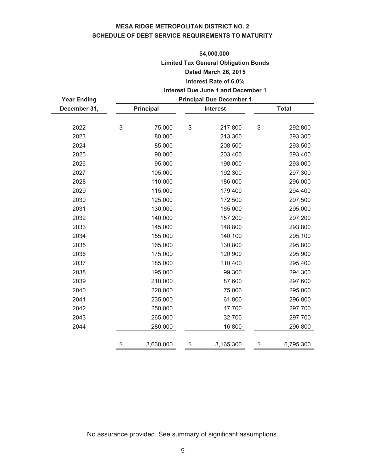# **MESA RIDGE METROPOLITAN DISTRICT NO. 2 SCHEDULE OF DEBT SERVICE REQUIREMENTS TO MATURITY**

# **\$4,000,000 Limited Tax General Obligation Bonds Dated March 26, 2015 Interest Rate of 6.0%**

#### **Interest Due June 1 and December 1 Principal Due December 1**

|                  |         |           | <b>Principal Due December 1</b> |           |              |  |  |
|------------------|---------|-----------|---------------------------------|-----------|--------------|--|--|
| <b>Principal</b> |         |           | <b>Interest</b>                 |           | <b>Total</b> |  |  |
|                  |         |           |                                 |           |              |  |  |
| \$               | 75,000  | \$        | 217,800                         | \$        | 292,800      |  |  |
|                  | 80,000  |           | 213,300                         |           | 293,300      |  |  |
|                  | 85,000  |           | 208,500                         |           | 293,500      |  |  |
|                  | 90,000  |           | 203,400                         |           | 293,400      |  |  |
|                  | 95,000  |           | 198,000                         |           | 293,000      |  |  |
|                  | 105,000 |           | 192,300                         |           | 297,300      |  |  |
|                  | 110,000 |           | 186,000                         |           | 296,000      |  |  |
|                  | 115,000 |           | 179,400                         |           | 294,400      |  |  |
|                  | 125,000 |           | 172,500                         |           | 297,500      |  |  |
|                  | 130,000 |           | 165,000                         |           | 295,000      |  |  |
|                  | 140,000 |           | 157,200                         |           | 297,200      |  |  |
|                  | 145,000 |           | 148,800                         |           | 293,800      |  |  |
|                  | 155,000 |           | 140,100                         |           | 295,100      |  |  |
|                  | 165,000 |           | 130,800                         |           | 295,800      |  |  |
|                  | 175,000 |           | 120,900                         |           | 295,900      |  |  |
|                  | 185,000 |           | 110,400                         |           | 295,400      |  |  |
|                  | 195,000 |           | 99,300                          |           | 294,300      |  |  |
|                  | 210,000 |           | 87,600                          |           | 297,600      |  |  |
|                  | 220,000 |           | 75,000                          |           | 295,000      |  |  |
|                  | 235,000 |           | 61,800                          |           | 296,800      |  |  |
|                  | 250,000 |           | 47,700                          |           | 297,700      |  |  |
|                  | 265,000 |           | 32,700                          |           | 297,700      |  |  |
|                  | 280,000 |           | 16,800                          |           | 296,800      |  |  |
|                  |         |           |                                 |           | 6,795,300    |  |  |
|                  | \$      | 3,630,000 | \$                              | 3,165,300 | \$           |  |  |

No assurance provided. See summary of significant assumptions.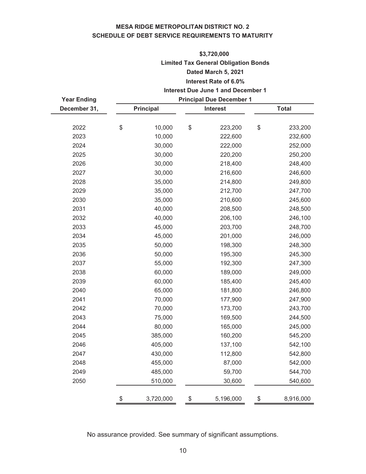# **MESA RIDGE METROPOLITAN DISTRICT NO. 2 SCHEDULE OF DEBT SERVICE REQUIREMENTS TO MATURITY**

# **Interest Due June 1 and December 1 \$3,720,000 Limited Tax General Obligation Bonds Dated March 5, 2021 Interest Rate of 6.0%**

| <b>Year Ending</b> | <b>Principal Due December 1</b> |                  |    |                 |    |              |
|--------------------|---------------------------------|------------------|----|-----------------|----|--------------|
| December 31,       |                                 | <b>Principal</b> |    | <b>Interest</b> |    | <b>Total</b> |
| 2022               | \$                              | 10,000           | \$ | 223,200         | \$ | 233,200      |
| 2023               |                                 | 10,000           |    | 222,600         |    | 232,600      |
| 2024               |                                 | 30,000           |    | 222,000         |    | 252,000      |
| 2025               |                                 | 30,000           |    | 220,200         |    | 250,200      |
| 2026               |                                 | 30,000           |    | 218,400         |    | 248,400      |
| 2027               |                                 | 30,000           |    | 216,600         |    | 246,600      |
| 2028               |                                 | 35,000           |    | 214,800         |    | 249,800      |
| 2029               |                                 | 35,000           |    | 212,700         |    | 247,700      |
| 2030               |                                 | 35,000           |    | 210,600         |    | 245,600      |
| 2031               |                                 | 40,000           |    | 208,500         |    | 248,500      |
| 2032               |                                 | 40,000           |    | 206,100         |    | 246,100      |
| 2033               |                                 | 45,000           |    | 203,700         |    | 248,700      |
| 2034               |                                 | 45,000           |    | 201,000         |    | 246,000      |
| 2035               |                                 | 50,000           |    | 198,300         |    | 248,300      |
| 2036               |                                 | 50,000           |    | 195,300         |    | 245,300      |
| 2037               |                                 | 55,000           |    | 192,300         |    | 247,300      |
| 2038               |                                 | 60,000           |    | 189,000         |    | 249,000      |
| 2039               |                                 | 60,000           |    | 185,400         |    | 245,400      |
| 2040               |                                 | 65,000           |    | 181,800         |    | 246,800      |
| 2041               |                                 | 70,000           |    | 177,900         |    | 247,900      |
| 2042               |                                 | 70,000           |    | 173,700         |    | 243,700      |
| 2043               |                                 | 75,000           |    | 169,500         |    | 244,500      |
| 2044               |                                 | 80,000           |    | 165,000         |    | 245,000      |
| 2045               |                                 | 385,000          |    | 160,200         |    | 545,200      |
| 2046               |                                 | 405,000          |    | 137,100         |    | 542,100      |
| 2047               |                                 | 430,000          |    | 112,800         |    | 542,800      |
| 2048               |                                 | 455,000          |    | 87,000          |    | 542,000      |
| 2049               |                                 | 485,000          |    | 59,700          |    | 544,700      |
| 2050               |                                 | 510,000          |    | 30,600          |    | 540,600      |
|                    | \$                              | 3,720,000        | \$ | 5,196,000       | \$ | 8,916,000    |

No assurance provided. See summary of significant assumptions.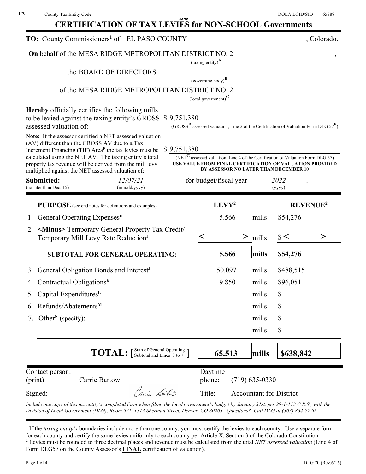| <b>CERTIFICATION OF TAX LEVIES for NON-SCHOOL Governments</b> |  |
|---------------------------------------------------------------|--|

|                                                                                                    | TO: County Commissioners <sup>1</sup> of EL PASO COUNTY                                                                                                                                                                                             |                                                  |                                                  |                                |                                                                                                                                                                                                          | , Colorado.                |
|----------------------------------------------------------------------------------------------------|-----------------------------------------------------------------------------------------------------------------------------------------------------------------------------------------------------------------------------------------------------|--------------------------------------------------|--------------------------------------------------|--------------------------------|----------------------------------------------------------------------------------------------------------------------------------------------------------------------------------------------------------|----------------------------|
|                                                                                                    | On behalf of the MESA RIDGE METROPOLITAN DISTRICT NO. 2                                                                                                                                                                                             |                                                  |                                                  |                                |                                                                                                                                                                                                          |                            |
|                                                                                                    |                                                                                                                                                                                                                                                     | $\left(\text{taxing entity}\right)^{\mathbf{A}}$ |                                                  |                                |                                                                                                                                                                                                          |                            |
|                                                                                                    | the BOARD OF DIRECTORS                                                                                                                                                                                                                              |                                                  |                                                  |                                |                                                                                                                                                                                                          |                            |
|                                                                                                    | of the MESA RIDGE METROPOLITAN DISTRICT NO. 2                                                                                                                                                                                                       |                                                  | (governing body) $\overline{B}$                  |                                |                                                                                                                                                                                                          |                            |
|                                                                                                    |                                                                                                                                                                                                                                                     |                                                  | $\left($ local government $\right)^{\mathbf{C}}$ |                                |                                                                                                                                                                                                          |                            |
| assessed valuation of:                                                                             | <b>Hereby</b> officially certifies the following mills<br>to be levied against the taxing entity's GROSS \$9,751,380                                                                                                                                |                                                  |                                                  |                                | (GROSS <sup>D</sup> assessed valuation, Line 2 of the Certification of Valuation Form DLG $57^E$ )                                                                                                       |                            |
| (AV) different than the GROSS AV due to a Tax<br>multiplied against the NET assessed valuation of: | Note: If the assessor certified a NET assessed valuation<br>Increment Financing (TIF) Area <sup>F</sup> the tax levies must be<br>calculated using the NET AV. The taxing entity's total<br>property tax revenue will be derived from the mill levy | \$9,751,380                                      |                                                  |                                | (NET $^{\text{G}}$ assessed valuation, Line 4 of the Certification of Valuation Form DLG 57)<br>USE VALUE FROM FINAL CERTIFICATION OF VALUATION PROVIDED<br><b>BY ASSESSOR NO LATER THAN DECEMBER 10</b> |                            |
| Submitted:<br>(no later than Dec. 15)                                                              | 12/07/21<br>(mm/dd/yyyy)                                                                                                                                                                                                                            |                                                  | for budget/fiscal year                           |                                | 2022                                                                                                                                                                                                     |                            |
|                                                                                                    |                                                                                                                                                                                                                                                     |                                                  |                                                  |                                | (yyyy)                                                                                                                                                                                                   |                            |
|                                                                                                    | <b>PURPOSE</b> (see end notes for definitions and examples)                                                                                                                                                                                         |                                                  | LEVY <sup>2</sup>                                |                                |                                                                                                                                                                                                          | <b>REVENUE<sup>2</sup></b> |
| General Operating Expenses <sup>H</sup>                                                            |                                                                                                                                                                                                                                                     |                                                  | 5.566                                            | mills                          | \$54,276                                                                                                                                                                                                 |                            |
| 2.                                                                                                 | <minus> Temporary General Property Tax Credit/<br/>Temporary Mill Levy Rate Reduction<sup>I</sup></minus>                                                                                                                                           | <                                                |                                                  | $>$ mills                      | $\frac{1}{2}$                                                                                                                                                                                            | >                          |
|                                                                                                    | <b>SUBTOTAL FOR GENERAL OPERATING:</b>                                                                                                                                                                                                              |                                                  | 5.566                                            | mills                          | \$54,276                                                                                                                                                                                                 |                            |
| 3.                                                                                                 | General Obligation Bonds and Interest <sup>J</sup>                                                                                                                                                                                                  |                                                  | 50.097                                           | mills                          | \$488,515                                                                                                                                                                                                |                            |
| Contractual Obligations $K$                                                                        |                                                                                                                                                                                                                                                     |                                                  | 9.850                                            | mills                          | \$96,051                                                                                                                                                                                                 |                            |
| 5. Capital Expenditures <sup>L</sup>                                                               |                                                                                                                                                                                                                                                     |                                                  |                                                  | mills                          | \$                                                                                                                                                                                                       |                            |
| Refunds/Abatements <sup>M</sup><br>6.                                                              |                                                                                                                                                                                                                                                     |                                                  |                                                  | mills                          | \$                                                                                                                                                                                                       |                            |
| Other <sup>N</sup> (specify):<br>7.                                                                |                                                                                                                                                                                                                                                     |                                                  |                                                  | mills                          |                                                                                                                                                                                                          |                            |
|                                                                                                    |                                                                                                                                                                                                                                                     |                                                  |                                                  | mills                          | \$                                                                                                                                                                                                       |                            |
|                                                                                                    | <b>TOTAL:</b> [Sum of General Operating ]                                                                                                                                                                                                           |                                                  | 65.513                                           | mills                          | \$638,842                                                                                                                                                                                                |                            |
| Contact person:                                                                                    | Carrie Bartow                                                                                                                                                                                                                                       |                                                  | Daytime<br>phone:                                | $(719)$ 635-0330               |                                                                                                                                                                                                          |                            |
| (print)                                                                                            |                                                                                                                                                                                                                                                     |                                                  |                                                  |                                |                                                                                                                                                                                                          |                            |
| Signed:                                                                                            | Canii Sarton                                                                                                                                                                                                                                        |                                                  | Title:                                           | <b>Accountant for District</b> |                                                                                                                                                                                                          |                            |

**1** If the *taxing entity's* boundaries include more than one county, you must certify the levies to each county. Use a separate form for each county and certify the same levies uniformly to each county per Article X, Section 3 of the Colorado Constitution. **2** Levies must be rounded to three decimal places and revenue must be calculated from the total *NET assessed valuation* (Line 4 of Form DLG57 on the County Assessor's **FINAL** certification of valuation).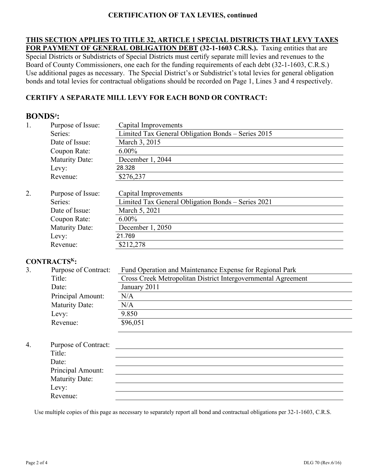# **CERTIFICATION OF TAX LEVIES, continued**

**THIS SECTION APPLIES TO TITLE 32, ARTICLE 1 SPECIAL DISTRICTS THAT LEVY TAXES FOR PAYMENT OF GENERAL OBLIGATION DEBT (32-1-1603 C.R.S.).** Taxing entities that are Special Districts or Subdistricts of Special Districts must certify separate mill levies and revenues to the Board of County Commissioners, one each for the funding requirements of each debt (32-1-1603, C.R.S.) Use additional pages as necessary. The Special District's or Subdistrict's total levies for general obligation bonds and total levies for contractual obligations should be recorded on Page 1, Lines 3 and 4 respectively.

# **CERTIFY A SEPARATE MILL LEVY FOR EACH BOND OR CONTRACT:**

# **BONDSJ :**

| 1. | Purpose of Issue:     | Capital Improvements                               |
|----|-----------------------|----------------------------------------------------|
|    | Series:               | Limited Tax General Obligation Bonds – Series 2015 |
|    | Date of Issue:        | March 3, 2015                                      |
|    | Coupon Rate:          | $6.00\%$                                           |
|    | <b>Maturity Date:</b> | December 1, 2044                                   |
|    | Levy:                 | 28.328                                             |
|    | Revenue:              | \$276,237                                          |
|    |                       |                                                    |
| 2. | Purpose of Issue:     | Capital Improvements                               |
|    | Series:               | Limited Tax General Obligation Bonds - Series 2021 |
|    | Date of Issue:        | March 5, 2021                                      |
|    | Coupon Rate:          | $6.00\%$                                           |
|    | <b>Maturity Date:</b> | December 1, 2050                                   |
|    | Levy:                 | 21.769                                             |
|    | Revenue:              | \$212,278                                          |

## **CONTRACTSK:**

| 3. | Purpose of Contract:  | Fund Operation and Maintenance Expense for Regional Park      |
|----|-----------------------|---------------------------------------------------------------|
|    | Title:                | Cross Creek Metropolitan District Intergovernmental Agreement |
|    | Date:                 | January 2011                                                  |
|    | Principal Amount:     | N/A                                                           |
|    | <b>Maturity Date:</b> | N/A                                                           |
|    | Levy:                 | 9.850                                                         |
|    | Revenue:              | \$96,051                                                      |

| 4. | Purpose of Contract: |  |
|----|----------------------|--|
|    | Title:               |  |
|    | Date:                |  |
|    | Principal Amount:    |  |
|    | Maturity Date:       |  |
|    | Levy:                |  |
|    | Revenue:             |  |

Use multiple copies of this page as necessary to separately report all bond and contractual obligations per 32-1-1603, C.R.S.